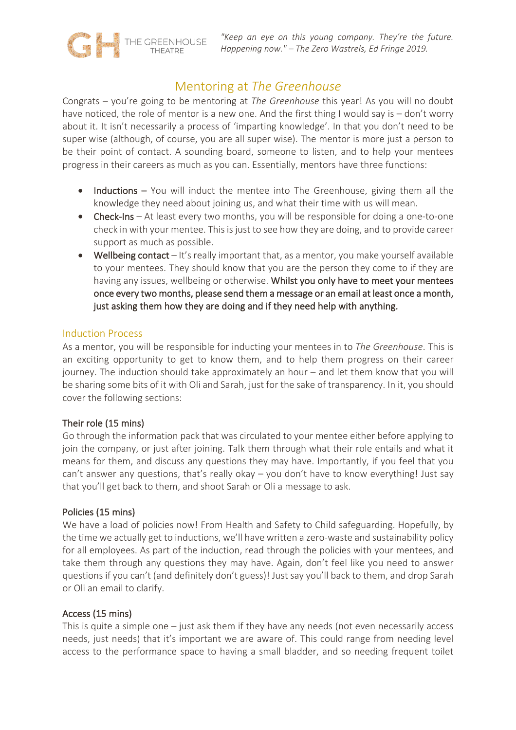

# Mentoring at *The Greenhouse*

Congrats – you're going to be mentoring at *The Greenhouse* this year! As you will no doubt have noticed, the role of mentor is a new one. And the first thing I would say is – don't worry about it. It isn't necessarily a process of 'imparting knowledge'. In that you don't need to be super wise (although, of course, you are all super wise). The mentor is more just a person to be their point of contact. A sounding board, someone to listen, and to help your mentees progress in their careers as much as you can. Essentially, mentors have three functions:

- Inductions You will induct the mentee into The Greenhouse, giving them all the knowledge they need about joining us, and what their time with us will mean.
- **Check-Ins** At least every two months, you will be responsible for doing a one-to-one check in with your mentee. This is just to see how they are doing, and to provide career support as much as possible.
- Wellbeing contact It's really important that, as a mentor, you make yourself available to your mentees. They should know that you are the person they come to if they are having any issues, wellbeing or otherwise. Whilst you only have to meet your mentees once every two months, please send them a message or an email at least once a month, just asking them how they are doing and if they need help with anything.

## Induction Process

As a mentor, you will be responsible for inducting your mentees in to *The Greenhouse*. This is an exciting opportunity to get to know them, and to help them progress on their career journey. The induction should take approximately an hour – and let them know that you will be sharing some bits of it with Oli and Sarah, just for the sake of transparency. In it, you should cover the following sections:

#### Their role (15 mins)

Go through the information pack that was circulated to your mentee either before applying to join the company, or just after joining. Talk them through what their role entails and what it means for them, and discuss any questions they may have. Importantly, if you feel that you can't answer any questions, that's really okay – you don't have to know everything! Just say that you'll get back to them, and shoot Sarah or Oli a message to ask.

#### Policies (15 mins)

We have a load of policies now! From Health and Safety to Child safeguarding. Hopefully, by the time we actually get to inductions, we'll have written a zero-waste and sustainability policy for all employees. As part of the induction, read through the policies with your mentees, and take them through any questions they may have. Again, don't feel like you need to answer questions if you can't (and definitely don't guess)! Just say you'll back to them, and drop Sarah or Oli an email to clarify.

## Access (15 mins)

This is quite a simple one – just ask them if they have any needs (not even necessarily access needs, just needs) that it's important we are aware of. This could range from needing level access to the performance space to having a small bladder, and so needing frequent toilet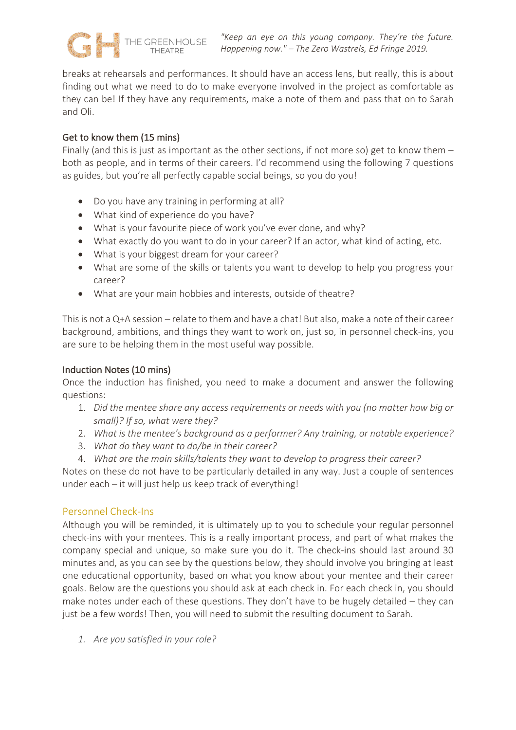

breaks at rehearsals and performances. It should have an access lens, but really, this is about finding out what we need to do to make everyone involved in the project as comfortable as they can be! If they have any requirements, make a note of them and pass that on to Sarah and Oli.

## Get to know them (15 mins)

Finally (and this is just as important as the other sections, if not more so) get to know them  $$ both as people, and in terms of their careers. I'd recommend using the following 7 questions as guides, but you're all perfectly capable social beings, so you do you!

- Do you have any training in performing at all?
- What kind of experience do you have?
- What is your favourite piece of work you've ever done, and why?
- What exactly do you want to do in your career? If an actor, what kind of acting, etc.
- What is your biggest dream for your career?
- What are some of the skills or talents you want to develop to help you progress your career?
- What are your main hobbies and interests, outside of theatre?

This is not a Q+A session – relate to them and have a chat! But also, make a note of their career background, ambitions, and things they want to work on, just so, in personnel check-ins, you are sure to be helping them in the most useful way possible.

## Induction Notes (10 mins)

Once the induction has finished, you need to make a document and answer the following questions:

- 1. *Did the mentee share any access requirements or needs with you (no matter how big or small)? If so, what were they?*
- 2. *What is the mentee's background as a performer? Any training, or notable experience?*
- 3. *What do they want to do/be in their career?*
- 4. *What are the main skills/talents they want to develop to progress their career?*

Notes on these do not have to be particularly detailed in any way. Just a couple of sentences under each – it will just help us keep track of everything!

## Personnel Check-Ins

Although you will be reminded, it is ultimately up to you to schedule your regular personnel check-ins with your mentees. This is a really important process, and part of what makes the company special and unique, so make sure you do it. The check-ins should last around 30 minutes and, as you can see by the questions below, they should involve you bringing at least one educational opportunity, based on what you know about your mentee and their career goals. Below are the questions you should ask at each check in. For each check in, you should make notes under each of these questions. They don't have to be hugely detailed – they can just be a few words! Then, you will need to submit the resulting document to Sarah.

*1. Are you satisfied in your role?*